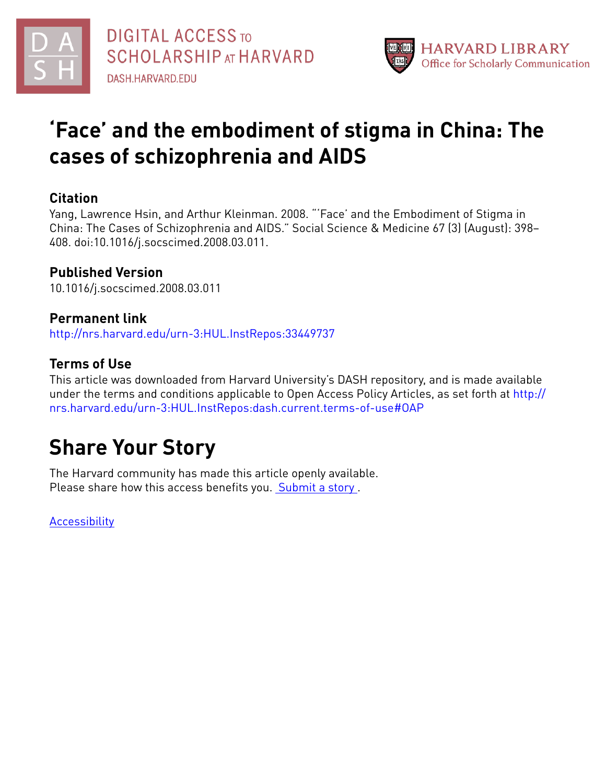



## **'Face' and the embodiment of stigma in China: The cases of schizophrenia and AIDS**

### **Citation**

Yang, Lawrence Hsin, and Arthur Kleinman. 2008. "'Face' and the Embodiment of Stigma in China: The Cases of Schizophrenia and AIDS." Social Science & Medicine 67 (3) (August): 398– 408. doi:10.1016/j.socscimed.2008.03.011.

## **Published Version**

10.1016/j.socscimed.2008.03.011

### **Permanent link**

<http://nrs.harvard.edu/urn-3:HUL.InstRepos:33449737>

## **Terms of Use**

This article was downloaded from Harvard University's DASH repository, and is made available under the terms and conditions applicable to Open Access Policy Articles, as set forth at [http://](http://nrs.harvard.edu/urn-3:HUL.InstRepos:dash.current.terms-of-use#OAP) [nrs.harvard.edu/urn-3:HUL.InstRepos:dash.current.terms-of-use#OAP](http://nrs.harvard.edu/urn-3:HUL.InstRepos:dash.current.terms-of-use#OAP)

# **Share Your Story**

The Harvard community has made this article openly available. Please share how this access benefits you. [Submit](http://osc.hul.harvard.edu/dash/open-access-feedback?handle=&title=%E2%80%98Face%E2%80%99%20and%20the%20embodiment%20of%20stigma%20in%20China:%20The%20cases%20of%20schizophrenia%20and%20AIDS&community=1/1&collection=1/2&owningCollection1/2&harvardAuthors=2e78eb2b9af121ea7976b83840dd5048&departmentAnthropology) a story .

**[Accessibility](https://dash.harvard.edu/pages/accessibility)**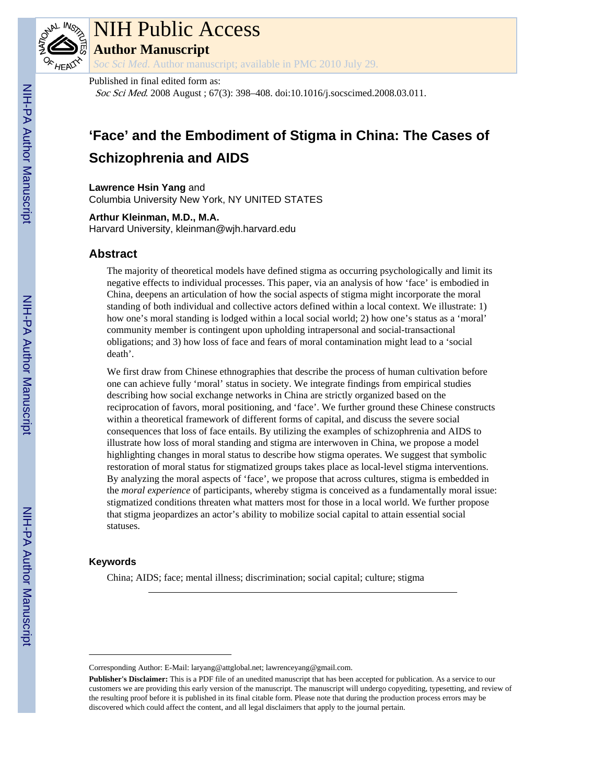

## NIH Public Access

**Author Manuscript**

*Soc Sci Med*. Author manuscript; available in PMC 2010 July 29.

#### Published in final edited form as:

Soc Sci Med. 2008 August ; 67(3): 398-408. doi:10.1016/j.socscimed.2008.03.011.

## **'Face' and the Embodiment of Stigma in China: The Cases of Schizophrenia and AIDS**

**Lawrence Hsin Yang** and

Columbia University New York, NY UNITED STATES

**Arthur Kleinman, M.D., M.A.** Harvard University, kleinman@wjh.harvard.edu

#### **Abstract**

The majority of theoretical models have defined stigma as occurring psychologically and limit its negative effects to individual processes. This paper, via an analysis of how 'face' is embodied in China, deepens an articulation of how the social aspects of stigma might incorporate the moral standing of both individual and collective actors defined within a local context. We illustrate: 1) how one's moral standing is lodged within a local social world; 2) how one's status as a 'moral' community member is contingent upon upholding intrapersonal and social-transactional obligations; and 3) how loss of face and fears of moral contamination might lead to a 'social death'.

We first draw from Chinese ethnographies that describe the process of human cultivation before one can achieve fully 'moral' status in society. We integrate findings from empirical studies describing how social exchange networks in China are strictly organized based on the reciprocation of favors, moral positioning, and 'face'. We further ground these Chinese constructs within a theoretical framework of different forms of capital, and discuss the severe social consequences that loss of face entails. By utilizing the examples of schizophrenia and AIDS to illustrate how loss of moral standing and stigma are interwoven in China, we propose a model highlighting changes in moral status to describe how stigma operates. We suggest that symbolic restoration of moral status for stigmatized groups takes place as local-level stigma interventions. By analyzing the moral aspects of 'face', we propose that across cultures, stigma is embedded in the *moral experience* of participants, whereby stigma is conceived as a fundamentally moral issue: stigmatized conditions threaten what matters most for those in a local world. We further propose that stigma jeopardizes an actor's ability to mobilize social capital to attain essential social statuses.

#### **Keywords**

China; AIDS; face; mental illness; discrimination; social capital; culture; stigma

Corresponding Author: E-Mail: laryang@attglobal.net; lawrenceyang@gmail.com.

**Publisher's Disclaimer:** This is a PDF file of an unedited manuscript that has been accepted for publication. As a service to our customers we are providing this early version of the manuscript. The manuscript will undergo copyediting, typesetting, and review of the resulting proof before it is published in its final citable form. Please note that during the production process errors may be discovered which could affect the content, and all legal disclaimers that apply to the journal pertain.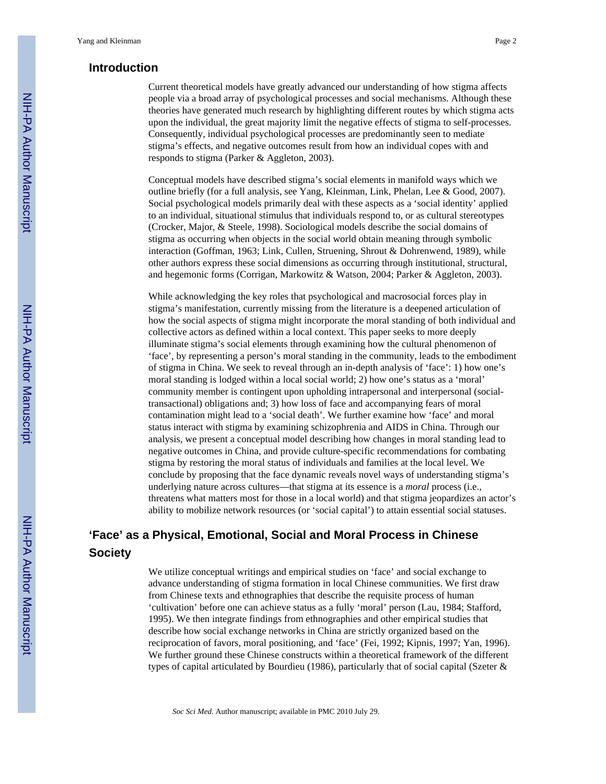#### **Introduction**

Current theoretical models have greatly advanced our understanding of how stigma affects people via a broad array of psychological processes and social mechanisms. Although these theories have generated much research by highlighting different routes by which stigma acts upon the individual, the great majority limit the negative effects of stigma to self-processes. Consequently, individual psychological processes are predominantly seen to mediate stigma's effects, and negative outcomes result from how an individual copes with and responds to stigma (Parker & Aggleton, 2003).

Conceptual models have described stigma's social elements in manifold ways which we outline briefly (for a full analysis, see Yang, Kleinman, Link, Phelan, Lee & Good, 2007). Social psychological models primarily deal with these aspects as a 'social identity' applied to an individual, situational stimulus that individuals respond to, or as cultural stereotypes (Crocker, Major, & Steele, 1998). Sociological models describe the social domains of stigma as occurring when objects in the social world obtain meaning through symbolic interaction (Goffman, 1963; Link, Cullen, Struening, Shrout & Dohrenwend, 1989), while other authors express these social dimensions as occurring through institutional, structural, and hegemonic forms (Corrigan, Markowitz & Watson, 2004; Parker & Aggleton, 2003).

While acknowledging the key roles that psychological and macrosocial forces play in stigma's manifestation, currently missing from the literature is a deepened articulation of how the social aspects of stigma might incorporate the moral standing of both individual and collective actors as defined within a local context. This paper seeks to more deeply illuminate stigma's social elements through examining how the cultural phenomenon of 'face', by representing a person's moral standing in the community, leads to the embodiment of stigma in China. We seek to reveal through an in-depth analysis of 'face': 1) how one's moral standing is lodged within a local social world; 2) how one's status as a 'moral' community member is contingent upon upholding intrapersonal and interpersonal (socialtransactional) obligations and; 3) how loss of face and accompanying fears of moral contamination might lead to a 'social death'. We further examine how 'face' and moral status interact with stigma by examining schizophrenia and AIDS in China. Through our analysis, we present a conceptual model describing how changes in moral standing lead to negative outcomes in China, and provide culture-specific recommendations for combating stigma by restoring the moral status of individuals and families at the local level. We conclude by proposing that the face dynamic reveals novel ways of understanding stigma's underlying nature across cultures—that stigma at its essence is a *moral* process (i.e., threatens what matters most for those in a local world) and that stigma jeopardizes an actor's ability to mobilize network resources (or 'social capital') to attain essential social statuses.

### **'Face' as a Physical, Emotional, Social and Moral Process in Chinese Society**

We utilize conceptual writings and empirical studies on 'face' and social exchange to advance understanding of stigma formation in local Chinese communities. We first draw from Chinese texts and ethnographies that describe the requisite process of human 'cultivation' before one can achieve status as a fully 'moral' person (Lau, 1984; Stafford, 1995). We then integrate findings from ethnographies and other empirical studies that describe how social exchange networks in China are strictly organized based on the reciprocation of favors, moral positioning, and 'face' (Fei, 1992; Kipnis, 1997; Yan, 1996). We further ground these Chinese constructs within a theoretical framework of the different types of capital articulated by Bourdieu (1986), particularly that of social capital (Szeter  $\&$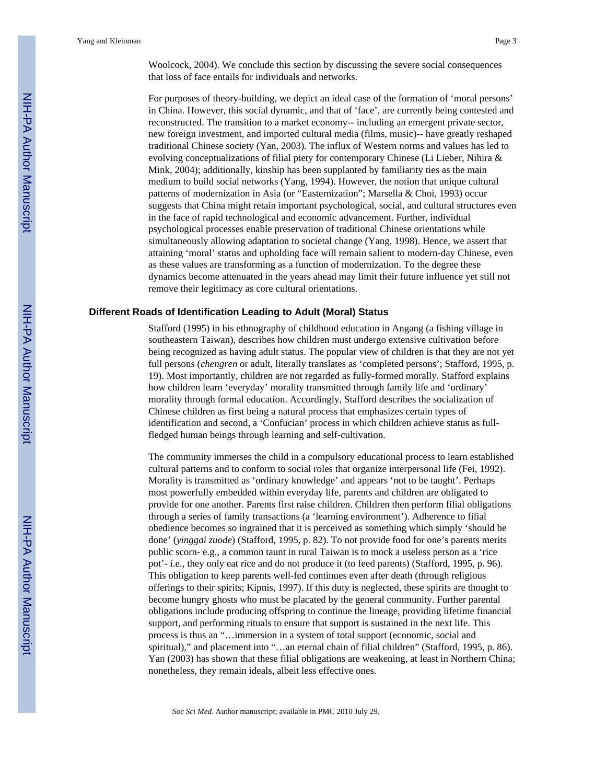Woolcock, 2004). We conclude this section by discussing the severe social consequences that loss of face entails for individuals and networks.

For purposes of theory-building, we depict an ideal case of the formation of 'moral persons' in China. However, this social dynamic, and that of 'face', are currently being contested and reconstructed. The transition to a market economy-- including an emergent private sector, new foreign investment, and imported cultural media (films, music)-- have greatly reshaped traditional Chinese society (Yan, 2003). The influx of Western norms and values has led to evolving conceptualizations of filial piety for contemporary Chinese (Li Lieber, Nihira & Mink, 2004); additionally, kinship has been supplanted by familiarity ties as the main medium to build social networks (Yang, 1994). However, the notion that unique cultural patterns of modernization in Asia (or "Easternization"; Marsella & Choi, 1993) occur suggests that China might retain important psychological, social, and cultural structures even in the face of rapid technological and economic advancement. Further, individual psychological processes enable preservation of traditional Chinese orientations while simultaneously allowing adaptation to societal change (Yang, 1998). Hence, we assert that attaining 'moral' status and upholding face will remain salient to modern-day Chinese, even as these values are transforming as a function of modernization. To the degree these dynamics become attenuated in the years ahead may limit their future influence yet still not remove their legitimacy as core cultural orientations.

#### **Different Roads of Identification Leading to Adult (Moral) Status**

Stafford (1995) in his ethnography of childhood education in Angang (a fishing village in southeastern Taiwan), describes how children must undergo extensive cultivation before being recognized as having adult status. The popular view of children is that they are not yet full persons (*chengren* or adult, literally translates as 'completed persons'; Stafford, 1995, p. 19). Most importantly, children are not regarded as fully-formed morally. Stafford explains how children learn 'everyday' morality transmitted through family life and 'ordinary' morality through formal education. Accordingly, Stafford describes the socialization of Chinese children as first being a natural process that emphasizes certain types of identification and second, a 'Confucian' process in which children achieve status as fullfledged human beings through learning and self-cultivation.

The community immerses the child in a compulsory educational process to learn established cultural patterns and to conform to social roles that organize interpersonal life (Fei, 1992). Morality is transmitted as 'ordinary knowledge' and appears 'not to be taught'. Perhaps most powerfully embedded within everyday life, parents and children are obligated to provide for one another. Parents first raise children. Children then perform filial obligations through a series of family transactions (a 'learning environment'). Adherence to filial obedience becomes so ingrained that it is perceived as something which simply 'should be done' (*yinggai zuode*) (Stafford, 1995, p. 82). To not provide food for one's parents merits public scorn- e.g., a common taunt in rural Taiwan is to mock a useless person as a 'rice pot'- i.e., they only eat rice and do not produce it (to feed parents) (Stafford, 1995, p. 96). This obligation to keep parents well-fed continues even after death (through religious offerings to their spirits; Kipnis, 1997). If this duty is neglected, these spirits are thought to become hungry ghosts who must be placated by the general community. Further parental obligations include producing offspring to continue the lineage, providing lifetime financial support, and performing rituals to ensure that support is sustained in the next life. This process is thus an "…immersion in a system of total support (economic, social and spiritual)," and placement into "...an eternal chain of filial children" (Stafford, 1995, p. 86). Yan (2003) has shown that these filial obligations are weakening, at least in Northern China; nonetheless, they remain ideals, albeit less effective ones.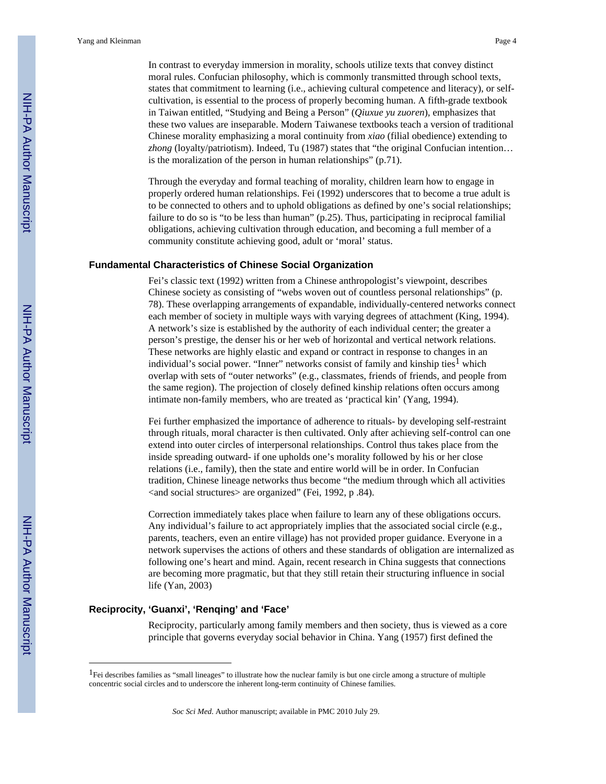In contrast to everyday immersion in morality, schools utilize texts that convey distinct moral rules. Confucian philosophy, which is commonly transmitted through school texts, states that commitment to learning (i.e., achieving cultural competence and literacy), or selfcultivation, is essential to the process of properly becoming human. A fifth-grade textbook in Taiwan entitled, "Studying and Being a Person" (*Qiuxue yu zuoren*), emphasizes that these two values are inseparable. Modern Taiwanese textbooks teach a version of traditional Chinese morality emphasizing a moral continuity from *xiao* (filial obedience) extending to *zhong* (loyalty/patriotism). Indeed, Tu (1987) states that "the original Confucian intention… is the moralization of the person in human relationships" (p.71).

Through the everyday and formal teaching of morality, children learn how to engage in properly ordered human relationships. Fei (1992) underscores that to become a true adult is to be connected to others and to uphold obligations as defined by one's social relationships; failure to do so is "to be less than human" (p.25). Thus, participating in reciprocal familial obligations, achieving cultivation through education, and becoming a full member of a community constitute achieving good, adult or 'moral' status.

#### **Fundamental Characteristics of Chinese Social Organization**

Fei's classic text (1992) written from a Chinese anthropologist's viewpoint, describes Chinese society as consisting of "webs woven out of countless personal relationships" (p. 78). These overlapping arrangements of expandable, individually-centered networks connect each member of society in multiple ways with varying degrees of attachment (King, 1994). A network's size is established by the authority of each individual center; the greater a person's prestige, the denser his or her web of horizontal and vertical network relations. These networks are highly elastic and expand or contract in response to changes in an individual's social power. "Inner" networks consist of family and kinship ties<sup>1</sup> which overlap with sets of "outer networks" (e.g., classmates, friends of friends, and people from the same region). The projection of closely defined kinship relations often occurs among intimate non-family members, who are treated as 'practical kin' (Yang, 1994).

Fei further emphasized the importance of adherence to rituals- by developing self-restraint through rituals, moral character is then cultivated. Only after achieving self-control can one extend into outer circles of interpersonal relationships. Control thus takes place from the inside spreading outward- if one upholds one's morality followed by his or her close relations (i.e., family), then the state and entire world will be in order. In Confucian tradition, Chinese lineage networks thus become "the medium through which all activities <and social structures> are organized" (Fei, 1992, p .84).

Correction immediately takes place when failure to learn any of these obligations occurs. Any individual's failure to act appropriately implies that the associated social circle (e.g., parents, teachers, even an entire village) has not provided proper guidance. Everyone in a network supervises the actions of others and these standards of obligation are internalized as following one's heart and mind. Again, recent research in China suggests that connections are becoming more pragmatic, but that they still retain their structuring influence in social life (Yan, 2003)

#### **Reciprocity, 'Guanxi', 'Renqing' and 'Face'**

Reciprocity, particularly among family members and then society, thus is viewed as a core principle that governs everyday social behavior in China. Yang (1957) first defined the

<sup>&</sup>lt;sup>1</sup>Fei describes families as "small lineages" to illustrate how the nuclear family is but one circle among a structure of multiple concentric social circles and to underscore the inherent long-term continuity of Chinese families.

*Soc Sci Med*. Author manuscript; available in PMC 2010 July 29.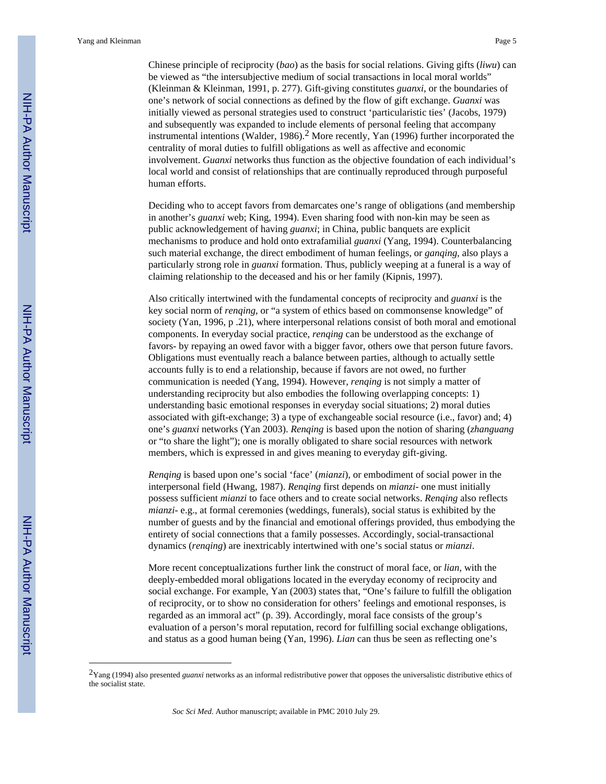Yang and Kleinman Page 5

Chinese principle of reciprocity (*bao*) as the basis for social relations. Giving gifts (*liwu*) can be viewed as "the intersubjective medium of social transactions in local moral worlds" (Kleinman & Kleinman, 1991, p. 277). Gift-giving constitutes *guanxi*, or the boundaries of one's network of social connections as defined by the flow of gift exchange. *Guanxi* was initially viewed as personal strategies used to construct 'particularistic ties' (Jacobs, 1979) and subsequently was expanded to include elements of personal feeling that accompany instrumental intentions (Walder, 1986).2 More recently, Yan (1996) further incorporated the centrality of moral duties to fulfill obligations as well as affective and economic involvement. *Guanxi* networks thus function as the objective foundation of each individual's local world and consist of relationships that are continually reproduced through purposeful human efforts.

Deciding who to accept favors from demarcates one's range of obligations (and membership in another's *guanxi* web; King, 1994). Even sharing food with non-kin may be seen as public acknowledgement of having *guanxi*; in China, public banquets are explicit mechanisms to produce and hold onto extrafamilial *guanxi* (Yang, 1994). Counterbalancing such material exchange, the direct embodiment of human feelings, or *ganqing*, also plays a particularly strong role in *guanxi* formation. Thus, publicly weeping at a funeral is a way of claiming relationship to the deceased and his or her family (Kipnis, 1997).

Also critically intertwined with the fundamental concepts of reciprocity and *guanxi* is the key social norm of *renqing*, or "a system of ethics based on commonsense knowledge" of society (Yan, 1996, p. 21), where interpersonal relations consist of both moral and emotional components. In everyday social practice, *renqing* can be understood as the exchange of favors- by repaying an owed favor with a bigger favor, others owe that person future favors. Obligations must eventually reach a balance between parties, although to actually settle accounts fully is to end a relationship, because if favors are not owed, no further communication is needed (Yang, 1994). However, *renqing* is not simply a matter of understanding reciprocity but also embodies the following overlapping concepts: 1) understanding basic emotional responses in everyday social situations; 2) moral duties associated with gift-exchange; 3) a type of exchangeable social resource (i.e., favor) and; 4) one's *guanxi* networks (Yan 2003). *Renqing* is based upon the notion of sharing (*zhanguang* or "to share the light"); one is morally obligated to share social resources with network members, which is expressed in and gives meaning to everyday gift-giving.

*Renqing* is based upon one's social 'face' (*mianzi*), or embodiment of social power in the interpersonal field (Hwang, 1987). *Renqing* first depends on *mianzi*- one must initially possess sufficient *mianzi* to face others and to create social networks. *Renqing* also reflects *mianzi*- e.g., at formal ceremonies (weddings, funerals), social status is exhibited by the number of guests and by the financial and emotional offerings provided, thus embodying the entirety of social connections that a family possesses. Accordingly, social-transactional dynamics (*renqing*) are inextricably intertwined with one's social status or *mianzi*.

More recent conceptualizations further link the construct of moral face, or *lian*, with the deeply-embedded moral obligations located in the everyday economy of reciprocity and social exchange. For example, Yan (2003) states that, "One's failure to fulfill the obligation of reciprocity, or to show no consideration for others' feelings and emotional responses, is regarded as an immoral act" (p. 39). Accordingly, moral face consists of the group's evaluation of a person's moral reputation, record for fulfilling social exchange obligations, and status as a good human being (Yan, 1996). *Lian* can thus be seen as reflecting one's

<sup>2</sup>Yang (1994) also presented *guanxi* networks as an informal redistributive power that opposes the universalistic distributive ethics of the socialist state.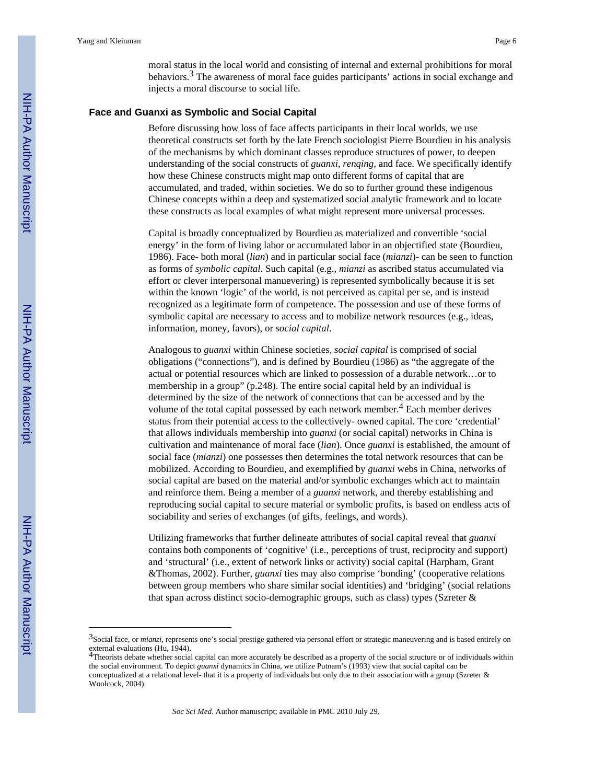moral status in the local world and consisting of internal and external prohibitions for moral behaviors.<sup>3</sup> The awareness of moral face guides participants' actions in social exchange and injects a moral discourse to social life.

#### **Face and Guanxi as Symbolic and Social Capital**

Before discussing how loss of face affects participants in their local worlds, we use theoretical constructs set forth by the late French sociologist Pierre Bourdieu in his analysis of the mechanisms by which dominant classes reproduce structures of power, to deepen understanding of the social constructs of *guanxi*, *renqing*, and face. We specifically identify how these Chinese constructs might map onto different forms of capital that are accumulated, and traded, within societies. We do so to further ground these indigenous Chinese concepts within a deep and systematized social analytic framework and to locate these constructs as local examples of what might represent more universal processes.

Capital is broadly conceptualized by Bourdieu as materialized and convertible 'social energy' in the form of living labor or accumulated labor in an objectified state (Bourdieu, 1986). Face- both moral (*lian*) and in particular social face (*mianzi*)- can be seen to function as forms of *symbolic capital*. Such capital (e.g., *mianzi* as ascribed status accumulated via effort or clever interpersonal manuevering) is represented symbolically because it is set within the known 'logic' of the world, is not perceived as capital per se, and is instead recognized as a legitimate form of competence. The possession and use of these forms of symbolic capital are necessary to access and to mobilize network resources (e.g., ideas, information, money, favors), or *social capital*.

Analogous to *guanxi* within Chinese societies, *social capital* is comprised of social obligations ("connections"), and is defined by Bourdieu (1986) as "the aggregate of the actual or potential resources which are linked to possession of a durable network…or to membership in a group" (p.248). The entire social capital held by an individual is determined by the size of the network of connections that can be accessed and by the volume of the total capital possessed by each network member.<sup>4</sup> Each member derives status from their potential access to the collectively- owned capital. The core 'credential' that allows individuals membership into *guanxi* (or social capital) networks in China is cultivation and maintenance of moral face (*lian*). Once *guanxi* is established, the amount of social face (*mianzi*) one possesses then determines the total network resources that can be mobilized. According to Bourdieu, and exemplified by *guanxi* webs in China, networks of social capital are based on the material and/or symbolic exchanges which act to maintain and reinforce them. Being a member of a *guanxi* network, and thereby establishing and reproducing social capital to secure material or symbolic profits, is based on endless acts of sociability and series of exchanges (of gifts, feelings, and words).

Utilizing frameworks that further delineate attributes of social capital reveal that *guanxi* contains both components of 'cognitive' (i.e., perceptions of trust, reciprocity and support) and 'structural' (i.e., extent of network links or activity) social capital (Harpham, Grant &Thomas, 2002). Further, *guanxi* ties may also comprise 'bonding' (cooperative relations between group members who share similar social identities) and 'bridging' (social relations that span across distinct socio-demographic groups, such as class) types (Szreter &

<sup>3</sup>Social face, or *mianzi,* represents one's social prestige gathered via personal effort or strategic maneuvering and is based entirely on external evaluations (Hu, 1944).<br><sup>4</sup>Theorists debate whether social capital can more accurately be described as a property of the social structure or of individuals within

the social environment. To depict *guanxi* dynamics in China, we utilize Putnam's (1993) view that social capital can be conceptualized at a relational level- that it is a property of individuals but only due to their association with a group (Szreter & Woolcock, 2004).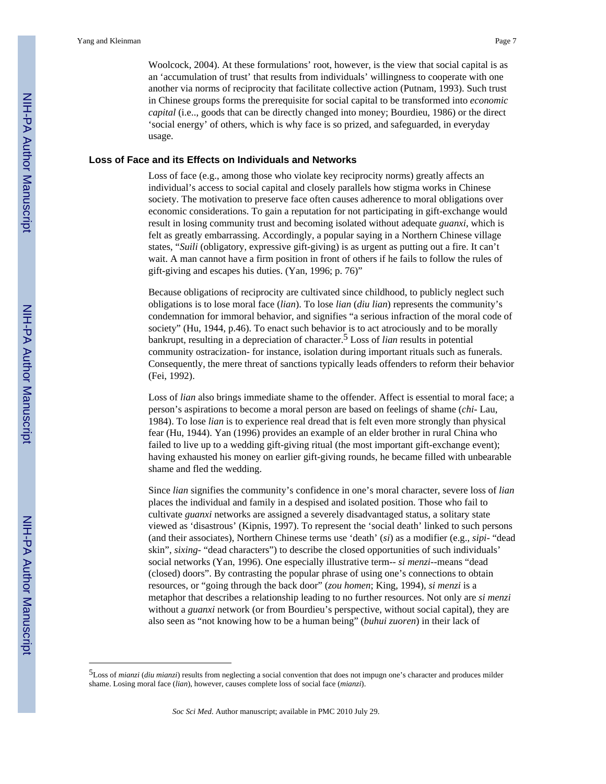Woolcock, 2004). At these formulations' root, however, is the view that social capital is as an 'accumulation of trust' that results from individuals' willingness to cooperate with one another via norms of reciprocity that facilitate collective action (Putnam, 1993). Such trust in Chinese groups forms the prerequisite for social capital to be transformed into *economic capital* (i.e.., goods that can be directly changed into money; Bourdieu, 1986) or the direct 'social energy' of others, which is why face is so prized, and safeguarded, in everyday usage.

#### **Loss of Face and its Effects on Individuals and Networks**

Loss of face (e.g., among those who violate key reciprocity norms) greatly affects an individual's access to social capital and closely parallels how stigma works in Chinese society. The motivation to preserve face often causes adherence to moral obligations over economic considerations. To gain a reputation for not participating in gift-exchange would result in losing community trust and becoming isolated without adequate *guanxi*, which is felt as greatly embarrassing. Accordingly, a popular saying in a Northern Chinese village states, "*Suili* (obligatory, expressive gift-giving) is as urgent as putting out a fire. It can't wait. A man cannot have a firm position in front of others if he fails to follow the rules of gift-giving and escapes his duties. (Yan, 1996; p. 76)"

Because obligations of reciprocity are cultivated since childhood, to publicly neglect such obligations is to lose moral face (*lian*). To lose *lian* (*diu lian*) represents the community's condemnation for immoral behavior, and signifies "a serious infraction of the moral code of society" (Hu, 1944, p.46). To enact such behavior is to act atrociously and to be morally bankrupt, resulting in a depreciation of character.5 Loss of *lian* results in potential community ostracization- for instance, isolation during important rituals such as funerals. Consequently, the mere threat of sanctions typically leads offenders to reform their behavior (Fei, 1992).

Loss of *lian* also brings immediate shame to the offender. Affect is essential to moral face; a person's aspirations to become a moral person are based on feelings of shame (*chi*- Lau, 1984). To lose *lian* is to experience real dread that is felt even more strongly than physical fear (Hu, 1944). Yan (1996) provides an example of an elder brother in rural China who failed to live up to a wedding gift-giving ritual (the most important gift-exchange event); having exhausted his money on earlier gift-giving rounds, he became filled with unbearable shame and fled the wedding.

Since *lian* signifies the community's confidence in one's moral character, severe loss of *lian* places the individual and family in a despised and isolated position. Those who fail to cultivate *guanxi* networks are assigned a severely disadvantaged status, a solitary state viewed as 'disastrous' (Kipnis, 1997). To represent the 'social death' linked to such persons (and their associates), Northern Chinese terms use 'death' (*si*) as a modifier (e.g., *sipi*- "dead skin", *sixing*- "dead characters") to describe the closed opportunities of such individuals' social networks (Yan, 1996). One especially illustrative term-- *si menzi--*means "dead (closed) doors". By contrasting the popular phrase of using one's connections to obtain resources, or "going through the back door" (*zou homen*; King, 1994), *si menzi* is a metaphor that describes a relationship leading to no further resources. Not only are *si menzi* without a *guanxi* network (or from Bourdieu's perspective, without social capital), they are also seen as "not knowing how to be a human being" (*buhui zuoren*) in their lack of

<sup>5</sup>Loss of *mianzi* (*diu mianzi*) results from neglecting a social convention that does not impugn one's character and produces milder shame. Losing moral face (*lian*), however, causes complete loss of social face (*mianzi*).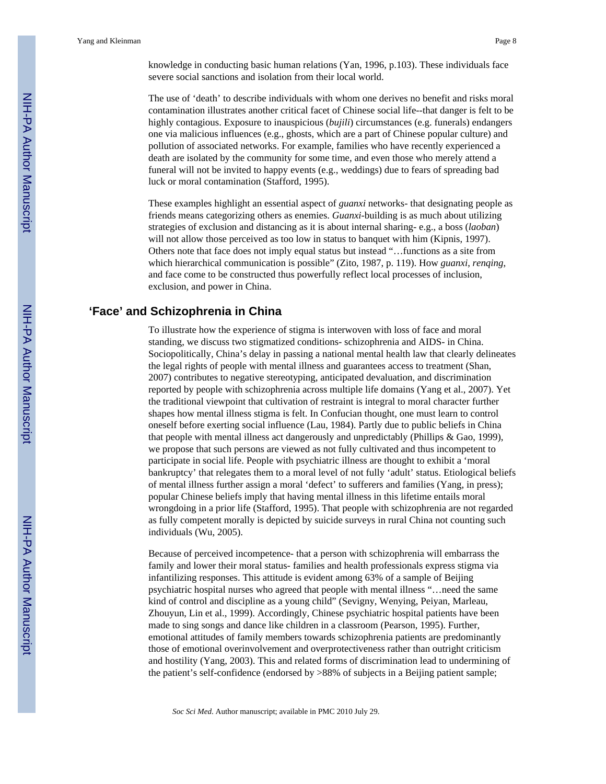knowledge in conducting basic human relations (Yan, 1996, p.103). These individuals face severe social sanctions and isolation from their local world.

The use of 'death' to describe individuals with whom one derives no benefit and risks moral contamination illustrates another critical facet of Chinese social life--that danger is felt to be highly contagious. Exposure to inauspicious *(bujili)* circumstances (e.g. funerals) endangers one via malicious influences (e.g., ghosts, which are a part of Chinese popular culture) and pollution of associated networks. For example, families who have recently experienced a death are isolated by the community for some time, and even those who merely attend a funeral will not be invited to happy events (e.g., weddings) due to fears of spreading bad luck or moral contamination (Stafford, 1995).

These examples highlight an essential aspect of *guanxi* networks- that designating people as friends means categorizing others as enemies. *Guanxi*-building is as much about utilizing strategies of exclusion and distancing as it is about internal sharing- e.g., a boss (*laoban*) will not allow those perceived as too low in status to banquet with him (Kipnis, 1997). Others note that face does not imply equal status but instead "…functions as a site from which hierarchical communication is possible" (Zito, 1987, p. 119). How *guanxi*, *renqing*, and face come to be constructed thus powerfully reflect local processes of inclusion, exclusion, and power in China.

#### **'Face' and Schizophrenia in China**

To illustrate how the experience of stigma is interwoven with loss of face and moral standing, we discuss two stigmatized conditions- schizophrenia and AIDS- in China. Sociopolitically, China's delay in passing a national mental health law that clearly delineates the legal rights of people with mental illness and guarantees access to treatment (Shan, 2007) contributes to negative stereotyping, anticipated devaluation, and discrimination reported by people with schizophrenia across multiple life domains (Yang et al., 2007). Yet the traditional viewpoint that cultivation of restraint is integral to moral character further shapes how mental illness stigma is felt. In Confucian thought, one must learn to control oneself before exerting social influence (Lau, 1984). Partly due to public beliefs in China that people with mental illness act dangerously and unpredictably (Phillips & Gao, 1999), we propose that such persons are viewed as not fully cultivated and thus incompetent to participate in social life. People with psychiatric illness are thought to exhibit a 'moral bankruptcy' that relegates them to a moral level of not fully 'adult' status. Etiological beliefs of mental illness further assign a moral 'defect' to sufferers and families (Yang, in press); popular Chinese beliefs imply that having mental illness in this lifetime entails moral wrongdoing in a prior life (Stafford, 1995). That people with schizophrenia are not regarded as fully competent morally is depicted by suicide surveys in rural China not counting such individuals (Wu, 2005).

Because of perceived incompetence- that a person with schizophrenia will embarrass the family and lower their moral status- families and health professionals express stigma via infantilizing responses. This attitude is evident among 63% of a sample of Beijing psychiatric hospital nurses who agreed that people with mental illness "…need the same kind of control and discipline as a young child" (Sevigny, Wenying, Peiyan, Marleau, Zhouyun, Lin et al., 1999). Accordingly, Chinese psychiatric hospital patients have been made to sing songs and dance like children in a classroom (Pearson, 1995). Further, emotional attitudes of family members towards schizophrenia patients are predominantly those of emotional overinvolvement and overprotectiveness rather than outright criticism and hostility (Yang, 2003). This and related forms of discrimination lead to undermining of the patient's self-confidence (endorsed by >88% of subjects in a Beijing patient sample;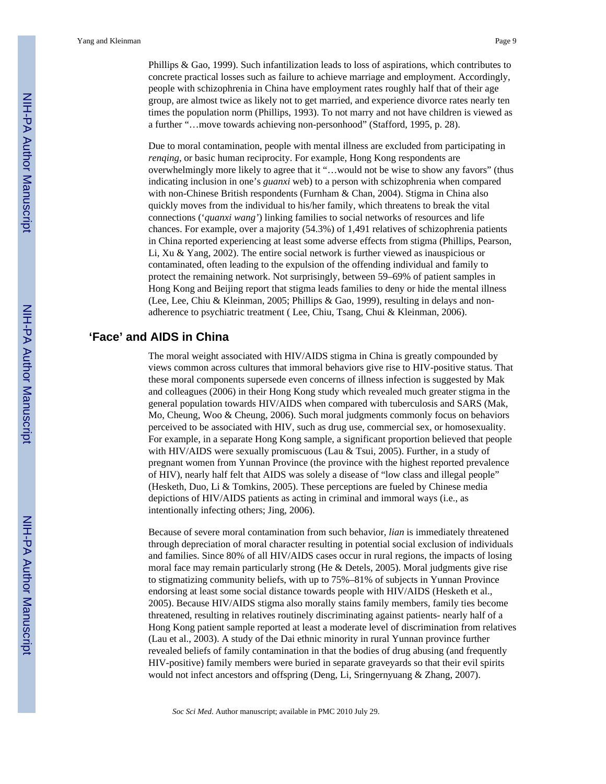Phillips & Gao, 1999). Such infantilization leads to loss of aspirations, which contributes to concrete practical losses such as failure to achieve marriage and employment. Accordingly, people with schizophrenia in China have employment rates roughly half that of their age group, are almost twice as likely not to get married, and experience divorce rates nearly ten times the population norm (Phillips, 1993). To not marry and not have children is viewed as a further "…move towards achieving non-personhood" (Stafford, 1995, p. 28).

Due to moral contamination, people with mental illness are excluded from participating in *renqing*, or basic human reciprocity. For example, Hong Kong respondents are overwhelmingly more likely to agree that it "…would not be wise to show any favors" (thus indicating inclusion in one's *guanxi* web) to a person with schizophrenia when compared with non-Chinese British respondents (Furnham & Chan, 2004). Stigma in China also quickly moves from the individual to his/her family, which threatens to break the vital connections ('*quanxi wang'*) linking families to social networks of resources and life chances. For example, over a majority (54.3%) of 1,491 relatives of schizophrenia patients in China reported experiencing at least some adverse effects from stigma (Phillips, Pearson, Li, Xu & Yang, 2002). The entire social network is further viewed as inauspicious or contaminated, often leading to the expulsion of the offending individual and family to protect the remaining network. Not surprisingly, between 59–69% of patient samples in Hong Kong and Beijing report that stigma leads families to deny or hide the mental illness (Lee, Lee, Chiu & Kleinman, 2005; Phillips & Gao, 1999), resulting in delays and nonadherence to psychiatric treatment ( Lee, Chiu, Tsang, Chui & Kleinman, 2006).

#### **'Face' and AIDS in China**

The moral weight associated with HIV/AIDS stigma in China is greatly compounded by views common across cultures that immoral behaviors give rise to HIV-positive status. That these moral components supersede even concerns of illness infection is suggested by Mak and colleagues (2006) in their Hong Kong study which revealed much greater stigma in the general population towards HIV/AIDS when compared with tuberculosis and SARS (Mak, Mo, Cheung, Woo & Cheung, 2006). Such moral judgments commonly focus on behaviors perceived to be associated with HIV, such as drug use, commercial sex, or homosexuality. For example, in a separate Hong Kong sample, a significant proportion believed that people with HIV/AIDS were sexually promiscuous (Lau & Tsui, 2005). Further, in a study of pregnant women from Yunnan Province (the province with the highest reported prevalence of HIV), nearly half felt that AIDS was solely a disease of "low class and illegal people" (Hesketh, Duo, Li & Tomkins, 2005). These perceptions are fueled by Chinese media depictions of HIV/AIDS patients as acting in criminal and immoral ways (i.e., as intentionally infecting others; Jing, 2006).

Because of severe moral contamination from such behavior, *lian* is immediately threatened through depreciation of moral character resulting in potential social exclusion of individuals and families. Since 80% of all HIV/AIDS cases occur in rural regions, the impacts of losing moral face may remain particularly strong (He & Detels, 2005). Moral judgments give rise to stigmatizing community beliefs, with up to 75%–81% of subjects in Yunnan Province endorsing at least some social distance towards people with HIV/AIDS (Hesketh et al., 2005). Because HIV/AIDS stigma also morally stains family members, family ties become threatened, resulting in relatives routinely discriminating against patients- nearly half of a Hong Kong patient sample reported at least a moderate level of discrimination from relatives (Lau et al., 2003). A study of the Dai ethnic minority in rural Yunnan province further revealed beliefs of family contamination in that the bodies of drug abusing (and frequently HIV-positive) family members were buried in separate graveyards so that their evil spirits would not infect ancestors and offspring (Deng, Li, Sringernyuang & Zhang, 2007).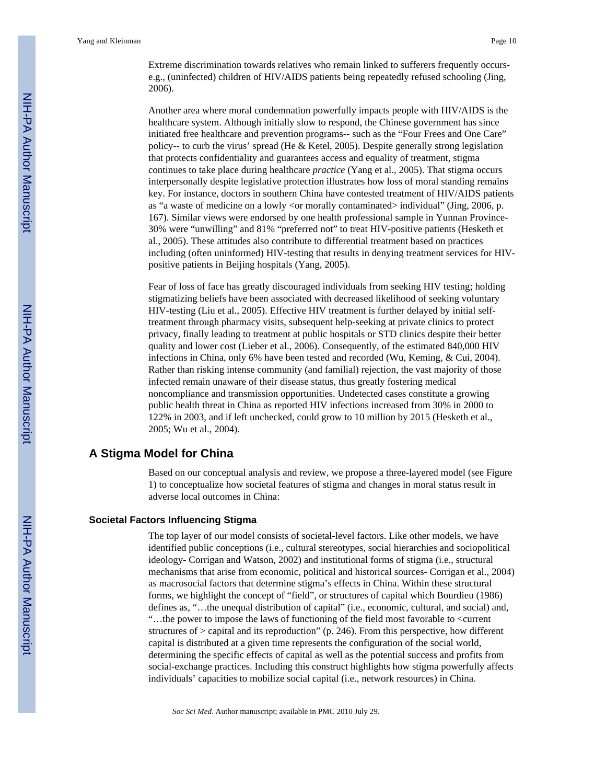Extreme discrimination towards relatives who remain linked to sufferers frequently occurse.g., (uninfected) children of HIV/AIDS patients being repeatedly refused schooling (Jing, 2006).

Another area where moral condemnation powerfully impacts people with HIV/AIDS is the healthcare system. Although initially slow to respond, the Chinese government has since initiated free healthcare and prevention programs-- such as the "Four Frees and One Care" policy-- to curb the virus' spread (He & Ketel, 2005). Despite generally strong legislation that protects confidentiality and guarantees access and equality of treatment, stigma continues to take place during healthcare *practice* (Yang et al., 2005). That stigma occurs interpersonally despite legislative protection illustrates how loss of moral standing remains key. For instance, doctors in southern China have contested treatment of HIV/AIDS patients as "a waste of medicine on a lowly <or morally contaminated> individual" (Jing, 2006, p. 167). Similar views were endorsed by one health professional sample in Yunnan Province-30% were "unwilling" and 81% "preferred not" to treat HIV-positive patients (Hesketh et al., 2005). These attitudes also contribute to differential treatment based on practices including (often uninformed) HIV-testing that results in denying treatment services for HIVpositive patients in Beijing hospitals (Yang, 2005).

Fear of loss of face has greatly discouraged individuals from seeking HIV testing; holding stigmatizing beliefs have been associated with decreased likelihood of seeking voluntary HIV-testing (Liu et al., 2005). Effective HIV treatment is further delayed by initial selftreatment through pharmacy visits, subsequent help-seeking at private clinics to protect privacy, finally leading to treatment at public hospitals or STD clinics despite their better quality and lower cost (Lieber et al., 2006). Consequently, of the estimated 840,000 HIV infections in China, only 6% have been tested and recorded (Wu, Keming, & Cui, 2004). Rather than risking intense community (and familial) rejection, the vast majority of those infected remain unaware of their disease status, thus greatly fostering medical noncompliance and transmission opportunities. Undetected cases constitute a growing public health threat in China as reported HIV infections increased from 30% in 2000 to 122% in 2003, and if left unchecked, could grow to 10 million by 2015 (Hesketh et al., 2005; Wu et al., 2004).

#### **A Stigma Model for China**

Based on our conceptual analysis and review, we propose a three-layered model (see Figure 1) to conceptualize how societal features of stigma and changes in moral status result in adverse local outcomes in China:

#### **Societal Factors Influencing Stigma**

The top layer of our model consists of societal-level factors. Like other models, we have identified public conceptions (i.e., cultural stereotypes, social hierarchies and sociopolitical ideology- Corrigan and Watson, 2002) and institutional forms of stigma (i.e., structural mechanisms that arise from economic, political and historical sources- Corrigan et al., 2004) as macrosocial factors that determine stigma's effects in China. Within these structural forms, we highlight the concept of "field", or structures of capital which Bourdieu (1986) defines as, "…the unequal distribution of capital" (i.e., economic, cultural, and social) and, "…the power to impose the laws of functioning of the field most favorable to <current structures of > capital and its reproduction" (p. 246). From this perspective, how different capital is distributed at a given time represents the configuration of the social world, determining the specific effects of capital as well as the potential success and profits from social-exchange practices. Including this construct highlights how stigma powerfully affects individuals' capacities to mobilize social capital (i.e., network resources) in China.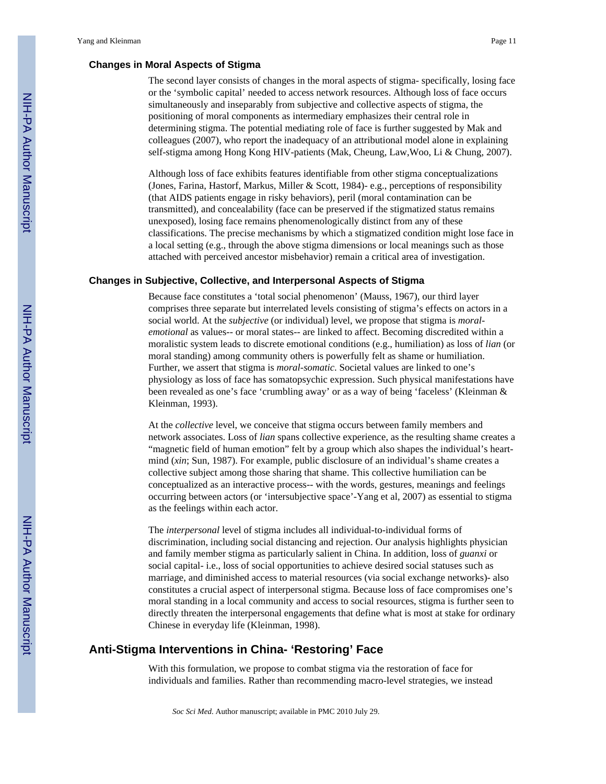#### **Changes in Moral Aspects of Stigma**

The second layer consists of changes in the moral aspects of stigma- specifically, losing face or the 'symbolic capital' needed to access network resources. Although loss of face occurs simultaneously and inseparably from subjective and collective aspects of stigma, the positioning of moral components as intermediary emphasizes their central role in determining stigma. The potential mediating role of face is further suggested by Mak and colleagues (2007), who report the inadequacy of an attributional model alone in explaining self-stigma among Hong Kong HIV-patients (Mak, Cheung, Law,Woo, Li & Chung, 2007).

Although loss of face exhibits features identifiable from other stigma conceptualizations (Jones, Farina, Hastorf, Markus, Miller & Scott, 1984)- e.g., perceptions of responsibility (that AIDS patients engage in risky behaviors), peril (moral contamination can be transmitted), and concealability (face can be preserved if the stigmatized status remains unexposed), losing face remains phenomenologically distinct from any of these classifications. The precise mechanisms by which a stigmatized condition might lose face in a local setting (e.g., through the above stigma dimensions or local meanings such as those attached with perceived ancestor misbehavior) remain a critical area of investigation.

#### **Changes in Subjective, Collective, and Interpersonal Aspects of Stigma**

Because face constitutes a 'total social phenomenon' (Mauss, 1967), our third layer comprises three separate but interrelated levels consisting of stigma's effects on actors in a social world. At the *subjective* (or individual) level, we propose that stigma is *moralemotional* as values-- or moral states-- are linked to affect. Becoming discredited within a moralistic system leads to discrete emotional conditions (e.g., humiliation) as loss of *lian* (or moral standing) among community others is powerfully felt as shame or humiliation. Further, we assert that stigma is *moral-somatic*. Societal values are linked to one's physiology as loss of face has somatopsychic expression. Such physical manifestations have been revealed as one's face 'crumbling away' or as a way of being 'faceless' (Kleinman & Kleinman, 1993).

At the *collective* level, we conceive that stigma occurs between family members and network associates. Loss of *lian* spans collective experience, as the resulting shame creates a "magnetic field of human emotion" felt by a group which also shapes the individual's heartmind (*xin*; Sun, 1987). For example, public disclosure of an individual's shame creates a collective subject among those sharing that shame. This collective humiliation can be conceptualized as an interactive process-- with the words, gestures, meanings and feelings occurring between actors (or 'intersubjective space'-Yang et al, 2007) as essential to stigma as the feelings within each actor.

The *interpersonal* level of stigma includes all individual-to-individual forms of discrimination, including social distancing and rejection. Our analysis highlights physician and family member stigma as particularly salient in China. In addition, loss of *guanxi* or social capital- i.e., loss of social opportunities to achieve desired social statuses such as marriage, and diminished access to material resources (via social exchange networks)- also constitutes a crucial aspect of interpersonal stigma. Because loss of face compromises one's moral standing in a local community and access to social resources, stigma is further seen to directly threaten the interpersonal engagements that define what is most at stake for ordinary Chinese in everyday life (Kleinman, 1998).

#### **Anti-Stigma Interventions in China- 'Restoring' Face**

With this formulation, we propose to combat stigma via the restoration of face for individuals and families. Rather than recommending macro-level strategies, we instead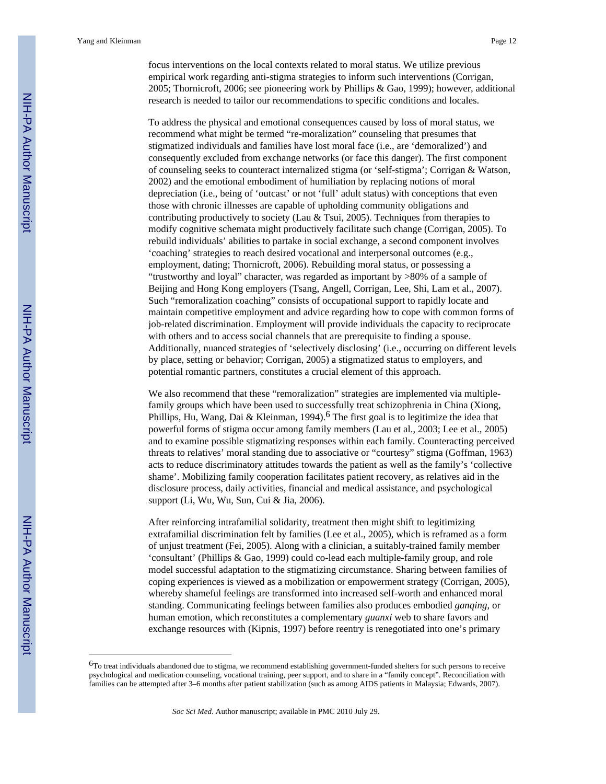focus interventions on the local contexts related to moral status. We utilize previous empirical work regarding anti-stigma strategies to inform such interventions (Corrigan, 2005; Thornicroft, 2006; see pioneering work by Phillips & Gao, 1999); however, additional research is needed to tailor our recommendations to specific conditions and locales.

To address the physical and emotional consequences caused by loss of moral status, we recommend what might be termed "re-moralization" counseling that presumes that stigmatized individuals and families have lost moral face (i.e., are 'demoralized') and consequently excluded from exchange networks (or face this danger). The first component of counseling seeks to counteract internalized stigma (or 'self-stigma'; Corrigan & Watson, 2002) and the emotional embodiment of humiliation by replacing notions of moral depreciation (i.e., being of 'outcast' or not 'full' adult status) with conceptions that even those with chronic illnesses are capable of upholding community obligations and contributing productively to society (Lau & Tsui, 2005). Techniques from therapies to modify cognitive schemata might productively facilitate such change (Corrigan, 2005). To rebuild individuals' abilities to partake in social exchange, a second component involves 'coaching' strategies to reach desired vocational and interpersonal outcomes (e.g., employment, dating; Thornicroft, 2006). Rebuilding moral status, or possessing a "trustworthy and loyal" character, was regarded as important by >80% of a sample of Beijing and Hong Kong employers (Tsang, Angell, Corrigan, Lee, Shi, Lam et al., 2007). Such "remoralization coaching" consists of occupational support to rapidly locate and maintain competitive employment and advice regarding how to cope with common forms of job-related discrimination. Employment will provide individuals the capacity to reciprocate with others and to access social channels that are prerequisite to finding a spouse. Additionally, nuanced strategies of 'selectively disclosing' (i.e., occurring on different levels by place, setting or behavior; Corrigan, 2005) a stigmatized status to employers, and potential romantic partners, constitutes a crucial element of this approach.

We also recommend that these "remoralization" strategies are implemented via multiplefamily groups which have been used to successfully treat schizophrenia in China (Xiong, Phillips, Hu, Wang, Dai & Kleinman, 1994).<sup>6</sup> The first goal is to legitimize the idea that powerful forms of stigma occur among family members (Lau et al., 2003; Lee et al., 2005) and to examine possible stigmatizing responses within each family. Counteracting perceived threats to relatives' moral standing due to associative or "courtesy" stigma (Goffman, 1963) acts to reduce discriminatory attitudes towards the patient as well as the family's 'collective shame'. Mobilizing family cooperation facilitates patient recovery, as relatives aid in the disclosure process, daily activities, financial and medical assistance, and psychological support (Li, Wu, Wu, Sun, Cui & Jia, 2006).

After reinforcing intrafamilial solidarity, treatment then might shift to legitimizing extrafamilial discrimination felt by families (Lee et al., 2005), which is reframed as a form of unjust treatment (Fei, 2005). Along with a clinician, a suitably-trained family member 'consultant' (Phillips & Gao, 1999) could co-lead each multiple-family group, and role model successful adaptation to the stigmatizing circumstance. Sharing between families of coping experiences is viewed as a mobilization or empowerment strategy (Corrigan, 2005), whereby shameful feelings are transformed into increased self-worth and enhanced moral standing. Communicating feelings between families also produces embodied *ganqing*, or human emotion, which reconstitutes a complementary *guanxi* web to share favors and exchange resources with (Kipnis, 1997) before reentry is renegotiated into one's primary

<sup>6</sup>To treat individuals abandoned due to stigma, we recommend establishing government-funded shelters for such persons to receive psychological and medication counseling, vocational training, peer support, and to share in a "family concept". Reconciliation with families can be attempted after 3–6 months after patient stabilization (such as among AIDS patients in Malaysia; Edwards, 2007).

*Soc Sci Med*. Author manuscript; available in PMC 2010 July 29.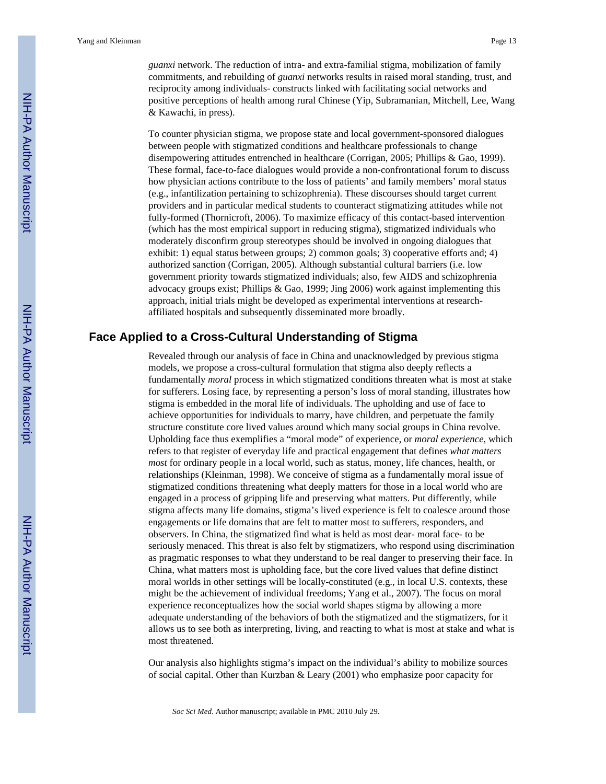*guanxi* network. The reduction of intra- and extra-familial stigma, mobilization of family commitments, and rebuilding of *guanxi* networks results in raised moral standing, trust, and reciprocity among individuals- constructs linked with facilitating social networks and positive perceptions of health among rural Chinese (Yip, Subramanian, Mitchell, Lee, Wang & Kawachi, in press).

To counter physician stigma, we propose state and local government-sponsored dialogues between people with stigmatized conditions and healthcare professionals to change disempowering attitudes entrenched in healthcare (Corrigan, 2005; Phillips & Gao, 1999). These formal, face-to-face dialogues would provide a non-confrontational forum to discuss how physician actions contribute to the loss of patients' and family members' moral status (e.g., infantilization pertaining to schizophrenia). These discourses should target current providers and in particular medical students to counteract stigmatizing attitudes while not fully-formed (Thornicroft, 2006). To maximize efficacy of this contact-based intervention (which has the most empirical support in reducing stigma), stigmatized individuals who moderately disconfirm group stereotypes should be involved in ongoing dialogues that exhibit: 1) equal status between groups; 2) common goals; 3) cooperative efforts and; 4) authorized sanction (Corrigan, 2005). Although substantial cultural barriers (i.e. low government priority towards stigmatized individuals; also, few AIDS and schizophrenia advocacy groups exist; Phillips & Gao, 1999; Jing 2006) work against implementing this approach, initial trials might be developed as experimental interventions at researchaffiliated hospitals and subsequently disseminated more broadly.

#### **Face Applied to a Cross-Cultural Understanding of Stigma**

Revealed through our analysis of face in China and unacknowledged by previous stigma models, we propose a cross-cultural formulation that stigma also deeply reflects a fundamentally *moral* process in which stigmatized conditions threaten what is most at stake for sufferers. Losing face, by representing a person's loss of moral standing, illustrates how stigma is embedded in the moral life of individuals. The upholding and use of face to achieve opportunities for individuals to marry, have children, and perpetuate the family structure constitute core lived values around which many social groups in China revolve. Upholding face thus exemplifies a "moral mode" of experience, or *moral experience,* which refers to that register of everyday life and practical engagement that defines *what matters most* for ordinary people in a local world, such as status, money, life chances, health, or relationships (Kleinman, 1998). We conceive of stigma as a fundamentally moral issue of stigmatized conditions threatening what deeply matters for those in a local world who are engaged in a process of gripping life and preserving what matters. Put differently, while stigma affects many life domains, stigma's lived experience is felt to coalesce around those engagements or life domains that are felt to matter most to sufferers, responders, and observers. In China, the stigmatized find what is held as most dear- moral face- to be seriously menaced. This threat is also felt by stigmatizers, who respond using discrimination as pragmatic responses to what they understand to be real danger to preserving their face. In China, what matters most is upholding face, but the core lived values that define distinct moral worlds in other settings will be locally-constituted (e.g., in local U.S. contexts, these might be the achievement of individual freedoms; Yang et al., 2007). The focus on moral experience reconceptualizes how the social world shapes stigma by allowing a more adequate understanding of the behaviors of both the stigmatized and the stigmatizers, for it allows us to see both as interpreting, living, and reacting to what is most at stake and what is most threatened.

Our analysis also highlights stigma's impact on the individual's ability to mobilize sources of social capital. Other than Kurzban & Leary (2001) who emphasize poor capacity for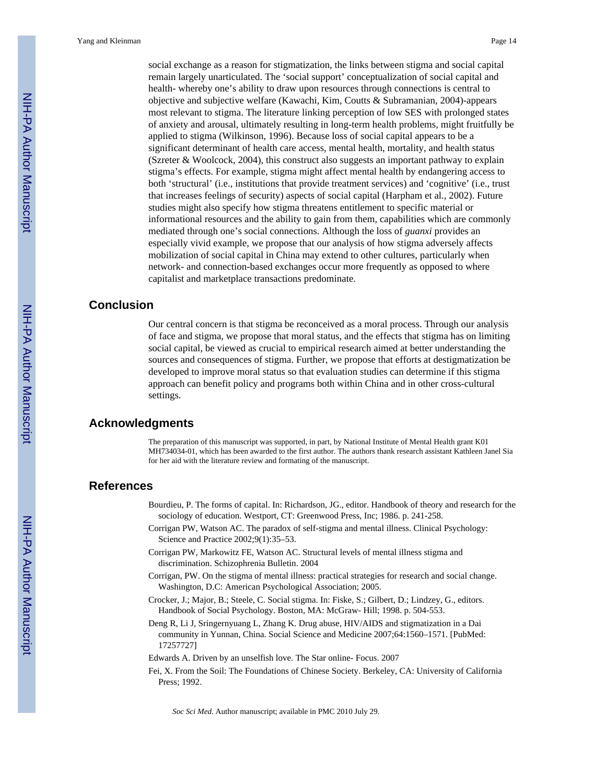social exchange as a reason for stigmatization, the links between stigma and social capital remain largely unarticulated. The 'social support' conceptualization of social capital and health- whereby one's ability to draw upon resources through connections is central to objective and subjective welfare (Kawachi, Kim, Coutts & Subramanian, 2004)-appears most relevant to stigma. The literature linking perception of low SES with prolonged states of anxiety and arousal, ultimately resulting in long-term health problems, might fruitfully be applied to stigma (Wilkinson, 1996). Because loss of social capital appears to be a significant determinant of health care access, mental health, mortality, and health status (Szreter & Woolcock, 2004), this construct also suggests an important pathway to explain stigma's effects. For example, stigma might affect mental health by endangering access to both 'structural' (i.e., institutions that provide treatment services) and 'cognitive' (i.e., trust that increases feelings of security) aspects of social capital (Harpham et al., 2002). Future studies might also specify how stigma threatens entitlement to specific material or informational resources and the ability to gain from them, capabilities which are commonly mediated through one's social connections. Although the loss of *guanxi* provides an especially vivid example, we propose that our analysis of how stigma adversely affects mobilization of social capital in China may extend to other cultures, particularly when network- and connection-based exchanges occur more frequently as opposed to where capitalist and marketplace transactions predominate.

#### **Conclusion**

Our central concern is that stigma be reconceived as a moral process. Through our analysis of face and stigma, we propose that moral status, and the effects that stigma has on limiting social capital, be viewed as crucial to empirical research aimed at better understanding the sources and consequences of stigma. Further, we propose that efforts at destigmatization be developed to improve moral status so that evaluation studies can determine if this stigma approach can benefit policy and programs both within China and in other cross-cultural settings.

#### **Acknowledgments**

The preparation of this manuscript was supported, in part, by National Institute of Mental Health grant K01 MH734034-01, which has been awarded to the first author. The authors thank research assistant Kathleen Janel Sia for her aid with the literature review and formating of the manuscript.

#### **References**

- Bourdieu, P. The forms of capital. In: Richardson, JG., editor. Handbook of theory and research for the sociology of education. Westport, CT: Greenwood Press, Inc; 1986. p. 241-258.
- Corrigan PW, Watson AC. The paradox of self-stigma and mental illness. Clinical Psychology: Science and Practice 2002;9(1):35–53.
- Corrigan PW, Markowitz FE, Watson AC. Structural levels of mental illness stigma and discrimination. Schizophrenia Bulletin. 2004
- Corrigan, PW. On the stigma of mental illness: practical strategies for research and social change. Washington, D.C: American Psychological Association; 2005.
- Crocker, J.; Major, B.; Steele, C. Social stigma. In: Fiske, S.; Gilbert, D.; Lindzey, G., editors. Handbook of Social Psychology. Boston, MA: McGraw- Hill; 1998. p. 504-553.
- Deng R, Li J, Sringernyuang L, Zhang K. Drug abuse, HIV/AIDS and stigmatization in a Dai community in Yunnan, China. Social Science and Medicine 2007;64:1560–1571. [PubMed: 17257727]
- Edwards A. Driven by an unselfish love. The Star online- Focus. 2007
- Fei, X. From the Soil: The Foundations of Chinese Society. Berkeley, CA: University of California Press; 1992.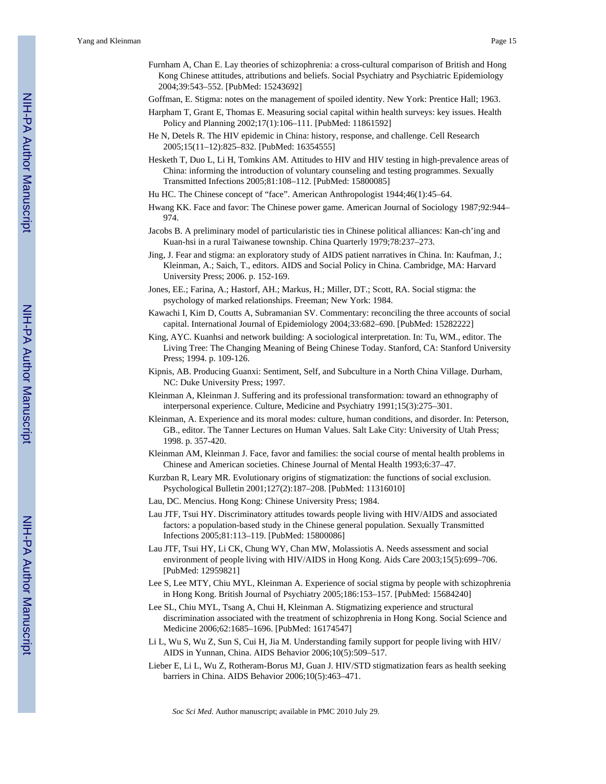- Furnham A, Chan E. Lay theories of schizophrenia: a cross-cultural comparison of British and Hong Kong Chinese attitudes, attributions and beliefs. Social Psychiatry and Psychiatric Epidemiology 2004;39:543–552. [PubMed: 15243692]
- Goffman, E. Stigma: notes on the management of spoiled identity. New York: Prentice Hall; 1963.
- Harpham T, Grant E, Thomas E. Measuring social capital within health surveys: key issues. Health Policy and Planning 2002;17(1):106–111. [PubMed: 11861592]
- He N, Detels R. The HIV epidemic in China: history, response, and challenge. Cell Research 2005;15(11–12):825–832. [PubMed: 16354555]
- Hesketh T, Duo L, Li H, Tomkins AM. Attitudes to HIV and HIV testing in high-prevalence areas of China: informing the introduction of voluntary counseling and testing programmes. Sexually Transmitted Infections 2005;81:108–112. [PubMed: 15800085]
- Hu HC. The Chinese concept of "face". American Anthropologist 1944;46(1):45–64.
- Hwang KK. Face and favor: The Chinese power game. American Journal of Sociology 1987;92:944– 974.
- Jacobs B. A preliminary model of particularistic ties in Chinese political alliances: Kan-ch'ing and Kuan-hsi in a rural Taiwanese township. China Quarterly 1979;78:237–273.
- Jing, J. Fear and stigma: an exploratory study of AIDS patient narratives in China. In: Kaufman, J.; Kleinman, A.; Saich, T., editors. AIDS and Social Policy in China. Cambridge, MA: Harvard University Press; 2006. p. 152-169.
- Jones, EE.; Farina, A.; Hastorf, AH.; Markus, H.; Miller, DT.; Scott, RA. Social stigma: the psychology of marked relationships. Freeman; New York: 1984.
- Kawachi I, Kim D, Coutts A, Subramanian SV. Commentary: reconciling the three accounts of social capital. International Journal of Epidemiology 2004;33:682–690. [PubMed: 15282222]
- King, AYC. Kuanhsi and network building: A sociological interpretation. In: Tu, WM., editor. The Living Tree: The Changing Meaning of Being Chinese Today. Stanford, CA: Stanford University Press; 1994. p. 109-126.
- Kipnis, AB. Producing Guanxi: Sentiment, Self, and Subculture in a North China Village. Durham, NC: Duke University Press; 1997.
- Kleinman A, Kleinman J. Suffering and its professional transformation: toward an ethnography of interpersonal experience. Culture, Medicine and Psychiatry 1991;15(3):275–301.
- Kleinman, A. Experience and its moral modes: culture, human conditions, and disorder. In: Peterson, GB., editor. The Tanner Lectures on Human Values. Salt Lake City: University of Utah Press; 1998. p. 357-420.
- Kleinman AM, Kleinman J. Face, favor and families: the social course of mental health problems in Chinese and American societies. Chinese Journal of Mental Health 1993;6:37–47.
- Kurzban R, Leary MR. Evolutionary origins of stigmatization: the functions of social exclusion. Psychological Bulletin 2001;127(2):187–208. [PubMed: 11316010]
- Lau, DC. Mencius. Hong Kong: Chinese University Press; 1984.
- Lau JTF, Tsui HY. Discriminatory attitudes towards people living with HIV/AIDS and associated factors: a population-based study in the Chinese general population. Sexually Transmitted Infections 2005;81:113–119. [PubMed: 15800086]
- Lau JTF, Tsui HY, Li CK, Chung WY, Chan MW, Molassiotis A. Needs assessment and social environment of people living with HIV/AIDS in Hong Kong. Aids Care 2003;15(5):699–706. [PubMed: 12959821]
- Lee S, Lee MTY, Chiu MYL, Kleinman A. Experience of social stigma by people with schizophrenia in Hong Kong. British Journal of Psychiatry 2005;186:153–157. [PubMed: 15684240]
- Lee SL, Chiu MYL, Tsang A, Chui H, Kleinman A. Stigmatizing experience and structural discrimination associated with the treatment of schizophrenia in Hong Kong. Social Science and Medicine 2006;62:1685–1696. [PubMed: 16174547]
- Li L, Wu S, Wu Z, Sun S, Cui H, Jia M. Understanding family support for people living with HIV/ AIDS in Yunnan, China. AIDS Behavior 2006;10(5):509–517.
- Lieber E, Li L, Wu Z, Rotheram-Borus MJ, Guan J. HIV/STD stigmatization fears as health seeking barriers in China. AIDS Behavior 2006;10(5):463–471.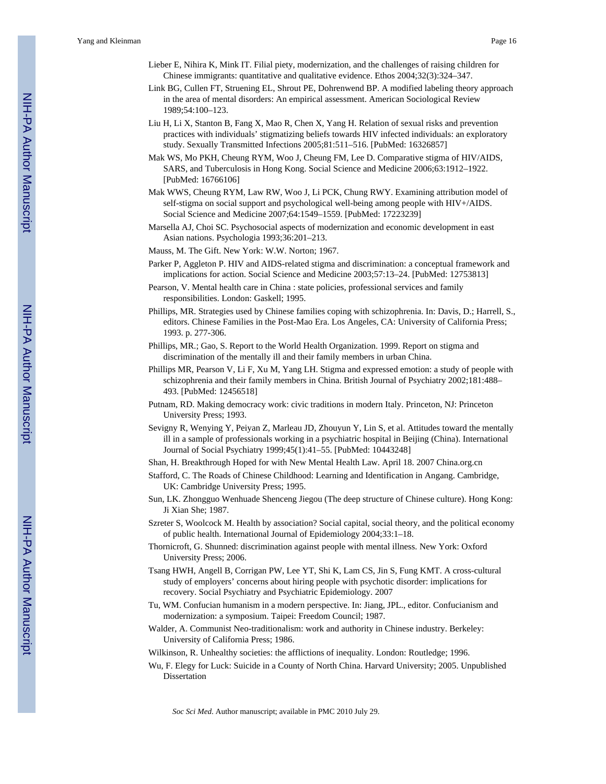- Lieber E, Nihira K, Mink IT. Filial piety, modernization, and the challenges of raising children for Chinese immigrants: quantitative and qualitative evidence. Ethos 2004;32(3):324–347.
- Link BG, Cullen FT, Struening EL, Shrout PE, Dohrenwend BP. A modified labeling theory approach in the area of mental disorders: An empirical assessment. American Sociological Review 1989;54:100–123.
- Liu H, Li X, Stanton B, Fang X, Mao R, Chen X, Yang H. Relation of sexual risks and prevention practices with individuals' stigmatizing beliefs towards HIV infected individuals: an exploratory study. Sexually Transmitted Infections 2005;81:511–516. [PubMed: 16326857]
- Mak WS, Mo PKH, Cheung RYM, Woo J, Cheung FM, Lee D. Comparative stigma of HIV/AIDS, SARS, and Tuberculosis in Hong Kong. Social Science and Medicine 2006;63:1912–1922. [PubMed: 16766106]
- Mak WWS, Cheung RYM, Law RW, Woo J, Li PCK, Chung RWY. Examining attribution model of self-stigma on social support and psychological well-being among people with HIV+/AIDS. Social Science and Medicine 2007;64:1549–1559. [PubMed: 17223239]
- Marsella AJ, Choi SC. Psychosocial aspects of modernization and economic development in east Asian nations. Psychologia 1993;36:201–213.
- Mauss, M. The Gift. New York: W.W. Norton; 1967.
- Parker P, Aggleton P. HIV and AIDS-related stigma and discrimination: a conceptual framework and implications for action. Social Science and Medicine 2003;57:13–24. [PubMed: 12753813]
- Pearson, V. Mental health care in China : state policies, professional services and family responsibilities. London: Gaskell; 1995.
- Phillips, MR. Strategies used by Chinese families coping with schizophrenia. In: Davis, D.; Harrell, S., editors. Chinese Families in the Post-Mao Era. Los Angeles, CA: University of California Press; 1993. p. 277-306.
- Phillips, MR.; Gao, S. Report to the World Health Organization. 1999. Report on stigma and discrimination of the mentally ill and their family members in urban China.
- Phillips MR, Pearson V, Li F, Xu M, Yang LH. Stigma and expressed emotion: a study of people with schizophrenia and their family members in China. British Journal of Psychiatry 2002;181:488– 493. [PubMed: 12456518]
- Putnam, RD. Making democracy work: civic traditions in modern Italy. Princeton, NJ: Princeton University Press; 1993.
- Sevigny R, Wenying Y, Peiyan Z, Marleau JD, Zhouyun Y, Lin S, et al. Attitudes toward the mentally ill in a sample of professionals working in a psychiatric hospital in Beijing (China). International Journal of Social Psychiatry 1999;45(1):41–55. [PubMed: 10443248]
- Shan, H. Breakthrough Hoped for with New Mental Health Law. April 18. 2007 China.org.cn
- Stafford, C. The Roads of Chinese Childhood: Learning and Identification in Angang. Cambridge, UK: Cambridge University Press; 1995.
- Sun, LK. Zhongguo Wenhuade Shenceng Jiegou (The deep structure of Chinese culture). Hong Kong: Ji Xian She; 1987.
- Szreter S, Woolcock M. Health by association? Social capital, social theory, and the political economy of public health. International Journal of Epidemiology 2004;33:1–18.
- Thornicroft, G. Shunned: discrimination against people with mental illness. New York: Oxford University Press; 2006.
- Tsang HWH, Angell B, Corrigan PW, Lee YT, Shi K, Lam CS, Jin S, Fung KMT. A cross-cultural study of employers' concerns about hiring people with psychotic disorder: implications for recovery. Social Psychiatry and Psychiatric Epidemiology. 2007
- Tu, WM. Confucian humanism in a modern perspective. In: Jiang, JPL., editor. Confucianism and modernization: a symposium. Taipei: Freedom Council; 1987.
- Walder, A. Communist Neo-traditionalism: work and authority in Chinese industry. Berkeley: University of California Press; 1986.
- Wilkinson, R. Unhealthy societies: the afflictions of inequality. London: Routledge; 1996.
- Wu, F. Elegy for Luck: Suicide in a County of North China. Harvard University; 2005. Unpublished Dissertation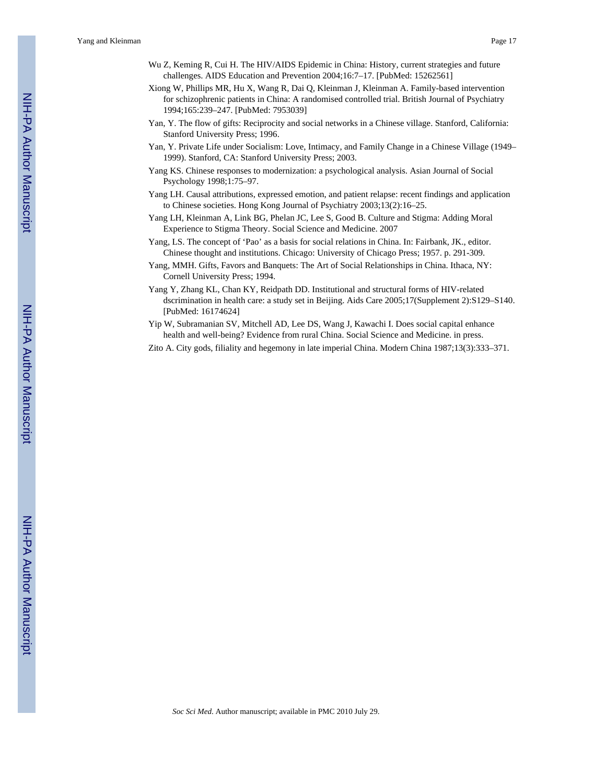- Wu Z, Keming R, Cui H. The HIV/AIDS Epidemic in China: History, current strategies and future challenges. AIDS Education and Prevention 2004;16:7–17. [PubMed: 15262561]
- Xiong W, Phillips MR, Hu X, Wang R, Dai Q, Kleinman J, Kleinman A. Family-based intervention for schizophrenic patients in China: A randomised controlled trial. British Journal of Psychiatry 1994;165:239–247. [PubMed: 7953039]
- Yan, Y. The flow of gifts: Reciprocity and social networks in a Chinese village. Stanford, California: Stanford University Press; 1996.
- Yan, Y. Private Life under Socialism: Love, Intimacy, and Family Change in a Chinese Village (1949– 1999). Stanford, CA: Stanford University Press; 2003.
- Yang KS. Chinese responses to modernization: a psychological analysis. Asian Journal of Social Psychology 1998;1:75–97.
- Yang LH. Causal attributions, expressed emotion, and patient relapse: recent findings and application to Chinese societies. Hong Kong Journal of Psychiatry 2003;13(2):16–25.
- Yang LH, Kleinman A, Link BG, Phelan JC, Lee S, Good B. Culture and Stigma: Adding Moral Experience to Stigma Theory. Social Science and Medicine. 2007
- Yang, LS. The concept of 'Pao' as a basis for social relations in China. In: Fairbank, JK., editor. Chinese thought and institutions. Chicago: University of Chicago Press; 1957. p. 291-309.
- Yang, MMH. Gifts, Favors and Banquets: The Art of Social Relationships in China. Ithaca, NY: Cornell University Press; 1994.
- Yang Y, Zhang KL, Chan KY, Reidpath DD. Institutional and structural forms of HIV-related dscrimination in health care: a study set in Beijing. Aids Care 2005;17(Supplement 2):S129–S140. [PubMed: 16174624]
- Yip W, Subramanian SV, Mitchell AD, Lee DS, Wang J, Kawachi I. Does social capital enhance health and well-being? Evidence from rural China. Social Science and Medicine. in press.
- Zito A. City gods, filiality and hegemony in late imperial China. Modern China 1987;13(3):333–371.